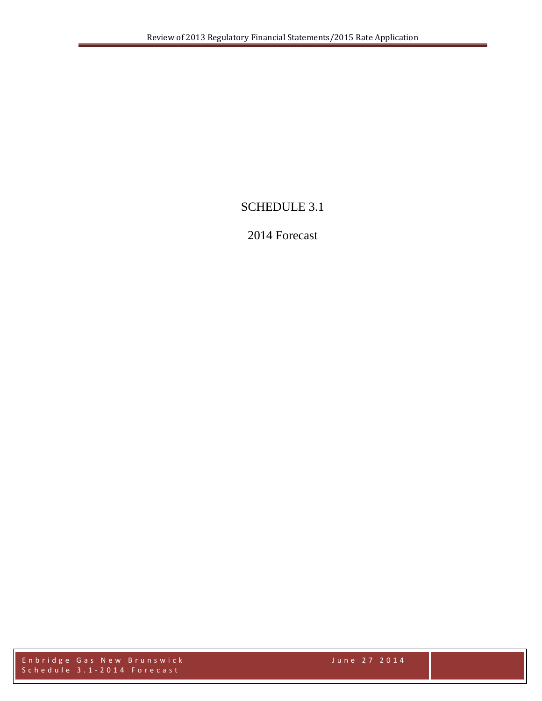# SCHEDULE 3.1

## 2014 Forecast

Enbridge Gas New Brunswick June 27 2014 Schedule 3.1 - 2014 Forecast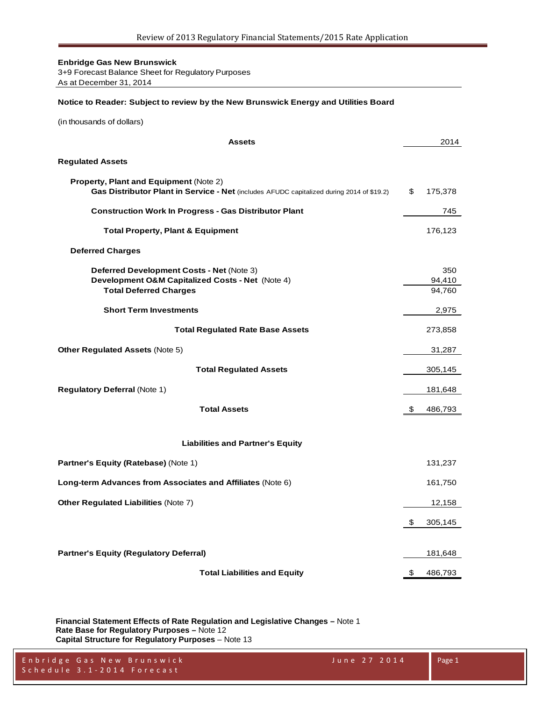3+9 Forecast Balance Sheet for Regulatory Purposes As at December 31, 2014

#### **Notice to Reader: Subject to review by the New Brunswick Energy and Utilities Board**

(in thousands of dollars)

| <b>Assets</b>                                                                                                                         | 2014                    |
|---------------------------------------------------------------------------------------------------------------------------------------|-------------------------|
| <b>Regulated Assets</b>                                                                                                               |                         |
| Property, Plant and Equipment (Note 2)<br>Gas Distributor Plant in Service - Net (includes AFUDC capitalized during 2014 of \$19.2)   | \$<br>175,378           |
| <b>Construction Work In Progress - Gas Distributor Plant</b>                                                                          | 745                     |
| <b>Total Property, Plant &amp; Equipment</b>                                                                                          | 176,123                 |
| <b>Deferred Charges</b>                                                                                                               |                         |
| <b>Deferred Development Costs - Net (Note 3)</b><br>Development O&M Capitalized Costs - Net (Note 4)<br><b>Total Deferred Charges</b> | 350<br>94,410<br>94,760 |
| <b>Short Term Investments</b>                                                                                                         | 2,975                   |
| <b>Total Regulated Rate Base Assets</b>                                                                                               | 273,858                 |
| <b>Other Regulated Assets (Note 5)</b>                                                                                                | 31,287                  |
| <b>Total Regulated Assets</b>                                                                                                         | 305,145                 |
| <b>Regulatory Deferral (Note 1)</b>                                                                                                   | 181,648                 |
| <b>Total Assets</b>                                                                                                                   | \$<br>486,793           |
| <b>Liabilities and Partner's Equity</b>                                                                                               |                         |
| Partner's Equity (Ratebase) (Note 1)                                                                                                  | 131,237                 |
| Long-term Advances from Associates and Affiliates (Note 6)                                                                            | 161,750                 |
| <b>Other Regulated Liabilities (Note 7)</b>                                                                                           | 12,158                  |
|                                                                                                                                       | \$<br>305,145           |
| <b>Partner's Equity (Regulatory Deferral)</b>                                                                                         | 181,648                 |
| <b>Total Liabilities and Equity</b>                                                                                                   | \$<br>486,793           |

**Financial Statement Effects of Rate Regulation and Legislative Changes –** Note 1 **Rate Base for Regulatory Purposes –** Note 12 **Capital Structure for Regulatory Purposes** – Note 13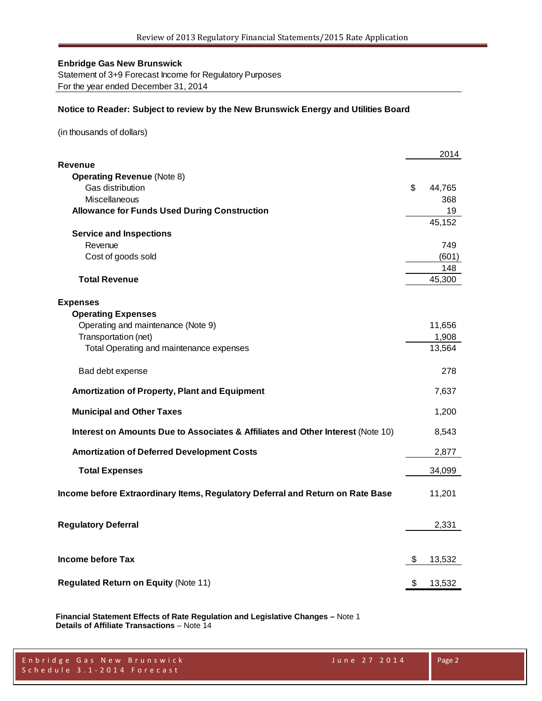Statement of 3+9 Forecast Income for Regulatory Purposes For the year ended December 31, 2014

### **Notice to Reader: Subject to review by the New Brunswick Energy and Utilities Board**

(in thousands of dollars)

| Revenue<br><b>Operating Revenue (Note 8)</b><br>Gas distribution<br>\$<br>44,765<br>Miscellaneous<br>368<br><b>Allowance for Funds Used During Construction</b><br>19<br>45,152<br><b>Service and Inspections</b><br>Revenue<br>749<br>Cost of goods sold<br>(601)<br>148<br><b>Total Revenue</b><br>45,300<br><b>Expenses</b><br><b>Operating Expenses</b><br>Operating and maintenance (Note 9)<br>11,656<br>Transportation (net)<br>1,908<br>Total Operating and maintenance expenses<br>13,564<br>278<br>Bad debt expense<br><b>Amortization of Property, Plant and Equipment</b><br>7,637<br><b>Municipal and Other Taxes</b><br>1,200<br>Interest on Amounts Due to Associates & Affiliates and Other Interest (Note 10)<br>8,543<br><b>Amortization of Deferred Development Costs</b><br>2,877<br><b>Total Expenses</b><br>34,099<br>Income before Extraordinary Items, Regulatory Deferral and Return on Rate Base<br>11,201<br><b>Regulatory Deferral</b><br>2,331<br><b>Income before Tax</b><br>\$<br>13,532<br><b>Regulated Return on Equity (Note 11)</b><br>\$<br>13,532 |  | 2014 |
|----------------------------------------------------------------------------------------------------------------------------------------------------------------------------------------------------------------------------------------------------------------------------------------------------------------------------------------------------------------------------------------------------------------------------------------------------------------------------------------------------------------------------------------------------------------------------------------------------------------------------------------------------------------------------------------------------------------------------------------------------------------------------------------------------------------------------------------------------------------------------------------------------------------------------------------------------------------------------------------------------------------------------------------------------------------------------------------|--|------|
|                                                                                                                                                                                                                                                                                                                                                                                                                                                                                                                                                                                                                                                                                                                                                                                                                                                                                                                                                                                                                                                                                        |  |      |
|                                                                                                                                                                                                                                                                                                                                                                                                                                                                                                                                                                                                                                                                                                                                                                                                                                                                                                                                                                                                                                                                                        |  |      |
|                                                                                                                                                                                                                                                                                                                                                                                                                                                                                                                                                                                                                                                                                                                                                                                                                                                                                                                                                                                                                                                                                        |  |      |
|                                                                                                                                                                                                                                                                                                                                                                                                                                                                                                                                                                                                                                                                                                                                                                                                                                                                                                                                                                                                                                                                                        |  |      |
|                                                                                                                                                                                                                                                                                                                                                                                                                                                                                                                                                                                                                                                                                                                                                                                                                                                                                                                                                                                                                                                                                        |  |      |
|                                                                                                                                                                                                                                                                                                                                                                                                                                                                                                                                                                                                                                                                                                                                                                                                                                                                                                                                                                                                                                                                                        |  |      |
|                                                                                                                                                                                                                                                                                                                                                                                                                                                                                                                                                                                                                                                                                                                                                                                                                                                                                                                                                                                                                                                                                        |  |      |
|                                                                                                                                                                                                                                                                                                                                                                                                                                                                                                                                                                                                                                                                                                                                                                                                                                                                                                                                                                                                                                                                                        |  |      |
|                                                                                                                                                                                                                                                                                                                                                                                                                                                                                                                                                                                                                                                                                                                                                                                                                                                                                                                                                                                                                                                                                        |  |      |
|                                                                                                                                                                                                                                                                                                                                                                                                                                                                                                                                                                                                                                                                                                                                                                                                                                                                                                                                                                                                                                                                                        |  |      |
|                                                                                                                                                                                                                                                                                                                                                                                                                                                                                                                                                                                                                                                                                                                                                                                                                                                                                                                                                                                                                                                                                        |  |      |
|                                                                                                                                                                                                                                                                                                                                                                                                                                                                                                                                                                                                                                                                                                                                                                                                                                                                                                                                                                                                                                                                                        |  |      |
|                                                                                                                                                                                                                                                                                                                                                                                                                                                                                                                                                                                                                                                                                                                                                                                                                                                                                                                                                                                                                                                                                        |  |      |
|                                                                                                                                                                                                                                                                                                                                                                                                                                                                                                                                                                                                                                                                                                                                                                                                                                                                                                                                                                                                                                                                                        |  |      |
|                                                                                                                                                                                                                                                                                                                                                                                                                                                                                                                                                                                                                                                                                                                                                                                                                                                                                                                                                                                                                                                                                        |  |      |
|                                                                                                                                                                                                                                                                                                                                                                                                                                                                                                                                                                                                                                                                                                                                                                                                                                                                                                                                                                                                                                                                                        |  |      |
|                                                                                                                                                                                                                                                                                                                                                                                                                                                                                                                                                                                                                                                                                                                                                                                                                                                                                                                                                                                                                                                                                        |  |      |
|                                                                                                                                                                                                                                                                                                                                                                                                                                                                                                                                                                                                                                                                                                                                                                                                                                                                                                                                                                                                                                                                                        |  |      |
|                                                                                                                                                                                                                                                                                                                                                                                                                                                                                                                                                                                                                                                                                                                                                                                                                                                                                                                                                                                                                                                                                        |  |      |
|                                                                                                                                                                                                                                                                                                                                                                                                                                                                                                                                                                                                                                                                                                                                                                                                                                                                                                                                                                                                                                                                                        |  |      |
|                                                                                                                                                                                                                                                                                                                                                                                                                                                                                                                                                                                                                                                                                                                                                                                                                                                                                                                                                                                                                                                                                        |  |      |
|                                                                                                                                                                                                                                                                                                                                                                                                                                                                                                                                                                                                                                                                                                                                                                                                                                                                                                                                                                                                                                                                                        |  |      |
|                                                                                                                                                                                                                                                                                                                                                                                                                                                                                                                                                                                                                                                                                                                                                                                                                                                                                                                                                                                                                                                                                        |  |      |
|                                                                                                                                                                                                                                                                                                                                                                                                                                                                                                                                                                                                                                                                                                                                                                                                                                                                                                                                                                                                                                                                                        |  |      |
|                                                                                                                                                                                                                                                                                                                                                                                                                                                                                                                                                                                                                                                                                                                                                                                                                                                                                                                                                                                                                                                                                        |  |      |
|                                                                                                                                                                                                                                                                                                                                                                                                                                                                                                                                                                                                                                                                                                                                                                                                                                                                                                                                                                                                                                                                                        |  |      |
|                                                                                                                                                                                                                                                                                                                                                                                                                                                                                                                                                                                                                                                                                                                                                                                                                                                                                                                                                                                                                                                                                        |  |      |
|                                                                                                                                                                                                                                                                                                                                                                                                                                                                                                                                                                                                                                                                                                                                                                                                                                                                                                                                                                                                                                                                                        |  |      |
|                                                                                                                                                                                                                                                                                                                                                                                                                                                                                                                                                                                                                                                                                                                                                                                                                                                                                                                                                                                                                                                                                        |  |      |

**Financial Statement Effects of Rate Regulation and Legislative Changes –** Note 1 **Details of Affiliate Transactions** – Note 14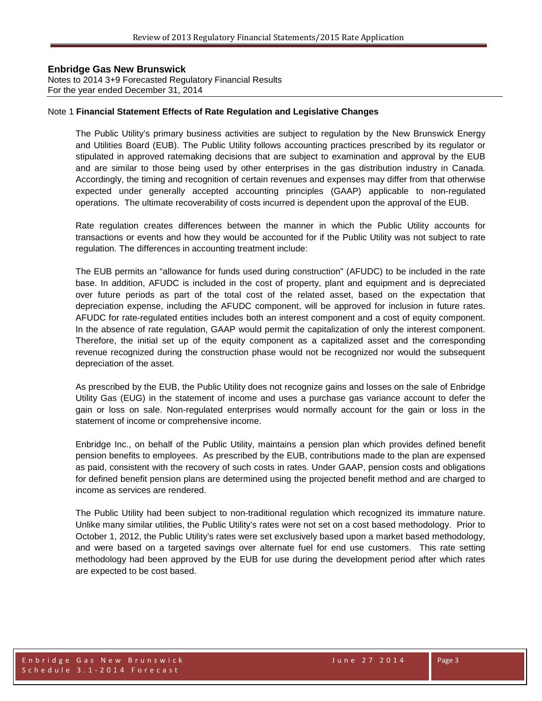Notes to 2014 3+9 Forecasted Regulatory Financial Results For the year ended December 31, 2014

#### Note 1 **Financial Statement Effects of Rate Regulation and Legislative Changes**

The Public Utility's primary business activities are subject to regulation by the New Brunswick Energy and Utilities Board (EUB). The Public Utility follows accounting practices prescribed by its regulator or stipulated in approved ratemaking decisions that are subject to examination and approval by the EUB and are similar to those being used by other enterprises in the gas distribution industry in Canada. Accordingly, the timing and recognition of certain revenues and expenses may differ from that otherwise expected under generally accepted accounting principles (GAAP) applicable to non-regulated operations. The ultimate recoverability of costs incurred is dependent upon the approval of the EUB.

Rate regulation creates differences between the manner in which the Public Utility accounts for transactions or events and how they would be accounted for if the Public Utility was not subject to rate regulation. The differences in accounting treatment include:

The EUB permits an "allowance for funds used during construction" (AFUDC) to be included in the rate base. In addition, AFUDC is included in the cost of property, plant and equipment and is depreciated over future periods as part of the total cost of the related asset, based on the expectation that depreciation expense, including the AFUDC component, will be approved for inclusion in future rates. AFUDC for rate-regulated entities includes both an interest component and a cost of equity component. In the absence of rate regulation, GAAP would permit the capitalization of only the interest component. Therefore, the initial set up of the equity component as a capitalized asset and the corresponding revenue recognized during the construction phase would not be recognized nor would the subsequent depreciation of the asset.

As prescribed by the EUB, the Public Utility does not recognize gains and losses on the sale of Enbridge Utility Gas (EUG) in the statement of income and uses a purchase gas variance account to defer the gain or loss on sale. Non-regulated enterprises would normally account for the gain or loss in the statement of income or comprehensive income.

Enbridge Inc., on behalf of the Public Utility, maintains a pension plan which provides defined benefit pension benefits to employees. As prescribed by the EUB, contributions made to the plan are expensed as paid, consistent with the recovery of such costs in rates. Under GAAP, pension costs and obligations for defined benefit pension plans are determined using the projected benefit method and are charged to income as services are rendered.

The Public Utility had been subject to non-traditional regulation which recognized its immature nature. Unlike many similar utilities, the Public Utility's rates were not set on a cost based methodology. Prior to October 1, 2012, the Public Utility's rates were set exclusively based upon a market based methodology, and were based on a targeted savings over alternate fuel for end use customers. This rate setting methodology had been approved by the EUB for use during the development period after which rates are expected to be cost based.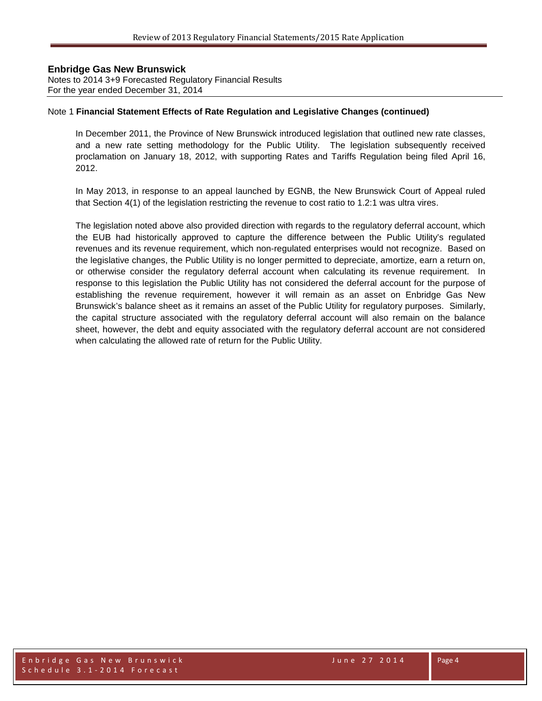Notes to 2014 3+9 Forecasted Regulatory Financial Results For the year ended December 31, 2014

#### Note 1 **Financial Statement Effects of Rate Regulation and Legislative Changes (continued)**

In December 2011, the Province of New Brunswick introduced legislation that outlined new rate classes, and a new rate setting methodology for the Public Utility. The legislation subsequently received proclamation on January 18, 2012, with supporting Rates and Tariffs Regulation being filed April 16, 2012.

In May 2013, in response to an appeal launched by EGNB, the New Brunswick Court of Appeal ruled that Section 4(1) of the legislation restricting the revenue to cost ratio to 1.2:1 was ultra vires.

The legislation noted above also provided direction with regards to the regulatory deferral account, which the EUB had historically approved to capture the difference between the Public Utility's regulated revenues and its revenue requirement, which non-regulated enterprises would not recognize. Based on the legislative changes, the Public Utility is no longer permitted to depreciate, amortize, earn a return on, or otherwise consider the regulatory deferral account when calculating its revenue requirement. In response to this legislation the Public Utility has not considered the deferral account for the purpose of establishing the revenue requirement, however it will remain as an asset on Enbridge Gas New Brunswick's balance sheet as it remains an asset of the Public Utility for regulatory purposes. Similarly, the capital structure associated with the regulatory deferral account will also remain on the balance sheet, however, the debt and equity associated with the regulatory deferral account are not considered when calculating the allowed rate of return for the Public Utility.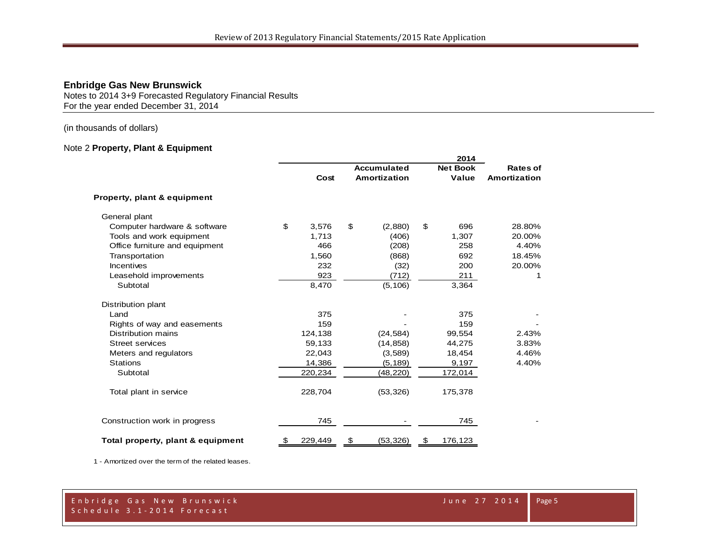Notes to 2014 3+9 Forecasted Regulatory Financial Results For the year ended December 31, 2014

(in thousands of dollars)

### Note 2 **Property, Plant & Equipment**

|                                   | 2014 |         |    |                    |    |                 |                     |
|-----------------------------------|------|---------|----|--------------------|----|-----------------|---------------------|
|                                   |      |         |    | <b>Accumulated</b> |    | <b>Net Book</b> | Rates of            |
|                                   |      | Cost    |    | Amortization       |    | Value           | <b>Amortization</b> |
| Property, plant & equipment       |      |         |    |                    |    |                 |                     |
| General plant                     |      |         |    |                    |    |                 |                     |
| Computer hardware & software      | \$   | 3,576   | \$ | (2,880)            | \$ | 696             | 28.80%              |
| Tools and work equipment          |      | 1,713   |    | (406)              |    | 1,307           | 20.00%              |
| Office furniture and equipment    |      | 466     |    | (208)              |    | 258             | 4.40%               |
| Transportation                    |      | 1,560   |    | (868)              |    | 692             | 18.45%              |
| Incentives                        |      | 232     |    | (32)               |    | 200             | 20.00%              |
| Leasehold improvements            |      | 923     |    | (712)              |    | 211             | 1                   |
| Subtotal                          |      | 8,470   |    | (5, 106)           |    | 3,364           |                     |
| Distribution plant                |      |         |    |                    |    |                 |                     |
| Land                              |      | 375     |    |                    |    | 375             |                     |
| Rights of way and easements       |      | 159     |    |                    |    | 159             |                     |
| Distribution mains                |      | 124,138 |    | (24, 584)          |    | 99,554          | 2.43%               |
| <b>Street services</b>            |      | 59,133  |    | (14, 858)          |    | 44,275          | 3.83%               |
| Meters and regulators             |      | 22,043  |    | (3,589)            |    | 18,454          | 4.46%               |
| <b>Stations</b>                   |      | 14,386  |    | (5, 189)           |    | 9,197           | 4.40%               |
| Subtotal                          |      | 220,234 |    | (48, 220)          |    | 172,014         |                     |
| Total plant in service            |      | 228,704 |    | (53, 326)          |    | 175,378         |                     |
| Construction work in progress     |      | 745     |    |                    |    | 745             |                     |
| Total property, plant & equipment | \$   | 229,449 | \$ | (53, 326)          | \$ | 176,123         |                     |

1 - Amortized over the term of the related leases.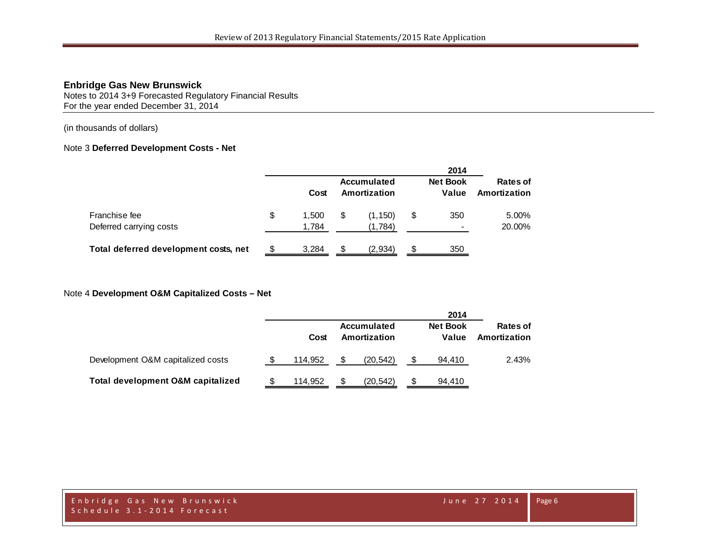Notes to 2014 3+9 Forecasted Regulatory Financial Results For the year ended December 31, 2014

(in thousands of dollars)

#### Note 3 **Deferred Development Costs - Net**

|                                          |                     |     |                             |    | 2014                            |                          |
|------------------------------------------|---------------------|-----|-----------------------------|----|---------------------------------|--------------------------|
|                                          | Cost                |     | Accumulated<br>Amortization |    | <b>Net Book</b><br>Value        | Rates of<br>Amortization |
| Franchise fee<br>Deferred carrying costs | \$<br>.500<br>1,784 | \$  | (1, 150)<br>(1,784)         | \$ | 350<br>$\overline{\phantom{a}}$ | 5.00%<br>20.00%          |
| Total deferred development costs, net    | 3,284               | \$. | (2,934)                     | S  | 350                             |                          |

### Note 4 **Development O&M Capitalized Costs – Net**

|                                   |         |                             | 2014                     |                          |
|-----------------------------------|---------|-----------------------------|--------------------------|--------------------------|
|                                   | Cost    | Accumulated<br>Amortization | <b>Net Book</b><br>Value | Rates of<br>Amortization |
| Development O&M capitalized costs | 114.952 | (20.542)                    | 94.410                   | 2.43%                    |
| Total development O&M capitalized | 114.952 | (20, 542)                   | 94.410                   |                          |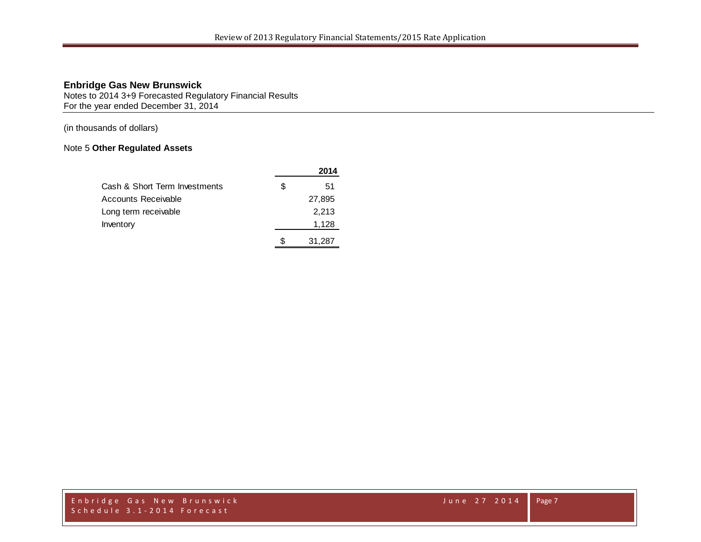Notes to 2014 3+9 Forecasted Regulatory Financial Results For the year ended December 31, 2014

(in thousands of dollars)

### Note 5 **Other Regulated Assets**

|                               |   | 2014   |
|-------------------------------|---|--------|
| Cash & Short Term Investments | S | 51     |
| Accounts Receivable           |   | 27,895 |
| Long term receivable          |   | 2,213  |
| Inventory                     |   | 1,128  |
|                               |   | 31,287 |

Enbridge Gas New Brunswick June 27 2014 Schedule 3.1 - 2014 Forecast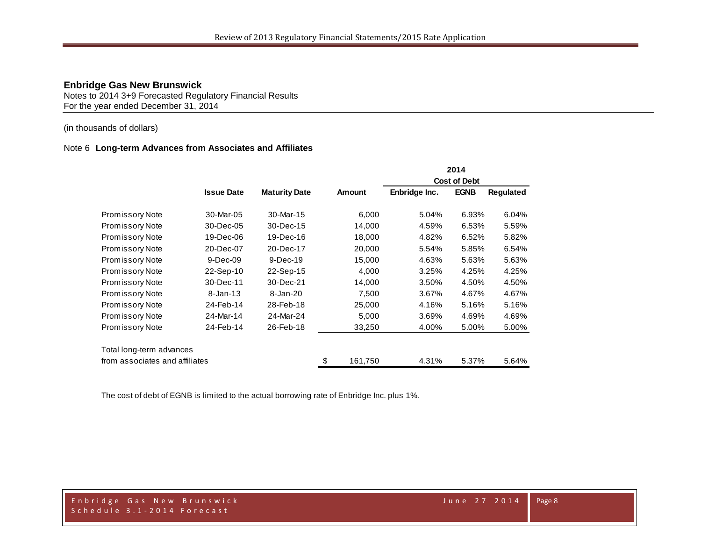Notes to 2014 3+9 Forecasted Regulatory Financial Results For the year ended December 31, 2014

### (in thousands of dollars)

#### Note 6 **Long-term Advances from Associates and Affiliates**

|                                |                   |                      |               |                     | 2014        |           |  |
|--------------------------------|-------------------|----------------------|---------------|---------------------|-------------|-----------|--|
|                                |                   |                      |               | <b>Cost of Debt</b> |             |           |  |
|                                | <b>Issue Date</b> | <b>Maturity Date</b> | Amount        | Enbridge Inc.       | <b>EGNB</b> | Regulated |  |
| <b>Promissory Note</b>         | 30-Mar-05         | 30-Mar-15            | 6,000         | 5.04%               | 6.93%       | 6.04%     |  |
| <b>Promissory Note</b>         | 30-Dec-05         | 30-Dec-15            | 14,000        | 4.59%               | 6.53%       | 5.59%     |  |
| Promissory Note                | 19-Dec-06         | 19-Dec-16            | 18,000        | 4.82%               | 6.52%       | 5.82%     |  |
| Promissory Note                | 20-Dec-07         | 20-Dec-17            | 20,000        | 5.54%               | 5.85%       | 6.54%     |  |
| <b>Promissory Note</b>         | $9-Dec-09$        | 9-Dec-19             | 15,000        | 4.63%               | 5.63%       | 5.63%     |  |
| <b>Promissory Note</b>         | 22-Sep-10         | 22-Sep-15            | 4,000         | 3.25%               | 4.25%       | 4.25%     |  |
| Promissory Note                | 30-Dec-11         | 30-Dec-21            | 14,000        | 3.50%               | 4.50%       | 4.50%     |  |
| Promissory Note                | $8 - Jan - 13$    | 8-Jan-20             | 7,500         | 3.67%               | 4.67%       | 4.67%     |  |
| Promissory Note                | 24-Feb-14         | 28-Feb-18            | 25,000        | 4.16%               | 5.16%       | 5.16%     |  |
| Promissory Note                | 24-Mar-14         | 24-Mar-24            | 5,000         | 3.69%               | 4.69%       | 4.69%     |  |
| Promissory Note                | 24-Feb-14         | 26-Feb-18            | 33,250        | 4.00%               | 5.00%       | 5.00%     |  |
| Total long-term advances       |                   |                      |               |                     |             |           |  |
| from associates and affiliates |                   |                      | \$<br>161,750 | 4.31%               | 5.37%       | 5.64%     |  |

The cost of debt of EGNB is limited to the actual borrowing rate of Enbridge Inc. plus 1%.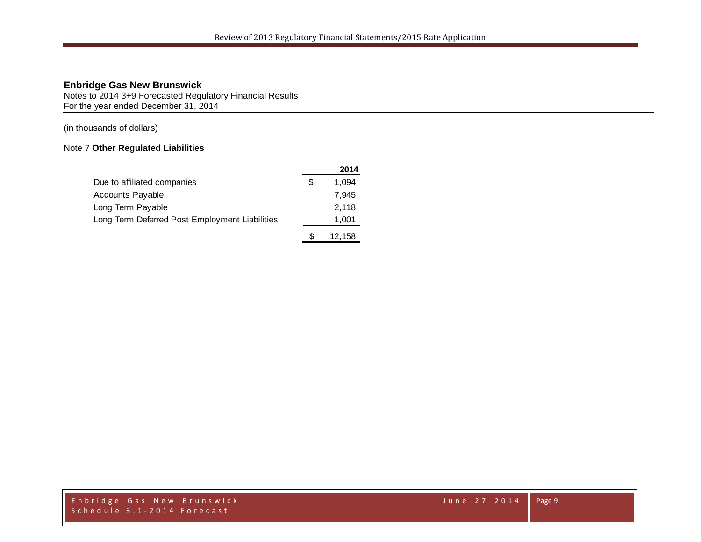Notes to 2014 3+9 Forecasted Regulatory Financial Results For the year ended December 31, 2014

(in thousands of dollars)

### Note 7 **Other Regulated Liabilities**

|                                                |     | 2014   |
|------------------------------------------------|-----|--------|
| Due to affiliated companies                    | \$. | 1.094  |
| <b>Accounts Payable</b>                        |     | 7.945  |
| Long Term Payable                              |     | 2.118  |
| Long Term Deferred Post Employment Liabilities |     | 1,001  |
|                                                |     | 12,158 |

Enbridge Gas New Brunswick June 27 2014 Schedule 3.1 - 2014 Forecast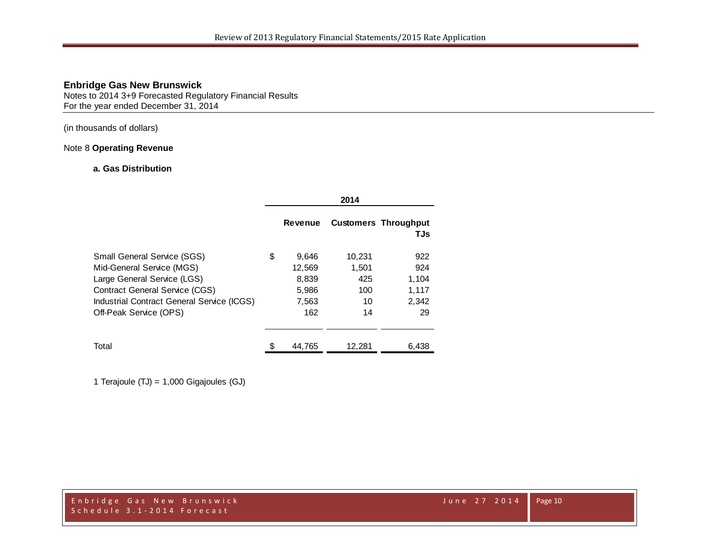Notes to 2014 3+9 Forecasted Regulatory Financial Results For the year ended December 31, 2014

(in thousands of dollars)

### Note 8 **Operating Revenue**

### **a. Gas Distribution**

|                                            |                | 2014   |                                    |
|--------------------------------------------|----------------|--------|------------------------------------|
|                                            | <b>Revenue</b> |        | <b>Customers Throughput</b><br>TJs |
| <b>Small General Service (SGS)</b>         | \$<br>9,646    | 10,231 | 922                                |
| Mid-General Service (MGS)                  | 12,569         | 1.501  | 924                                |
| Large General Service (LGS)                | 8,839          | 425    | 1,104                              |
| <b>Contract General Service (CGS)</b>      | 5,986          | 100    | 1,117                              |
| Industrial Contract General Service (ICGS) | 7,563          | 10     | 2,342                              |
| Off-Peak Service (OPS)                     | 162            | 14     | 29                                 |
|                                            |                |        |                                    |
| Total                                      | 44.765         | 12.281 | 6,438                              |

1 Terajoule (TJ) = 1,000 Gigajoules (GJ)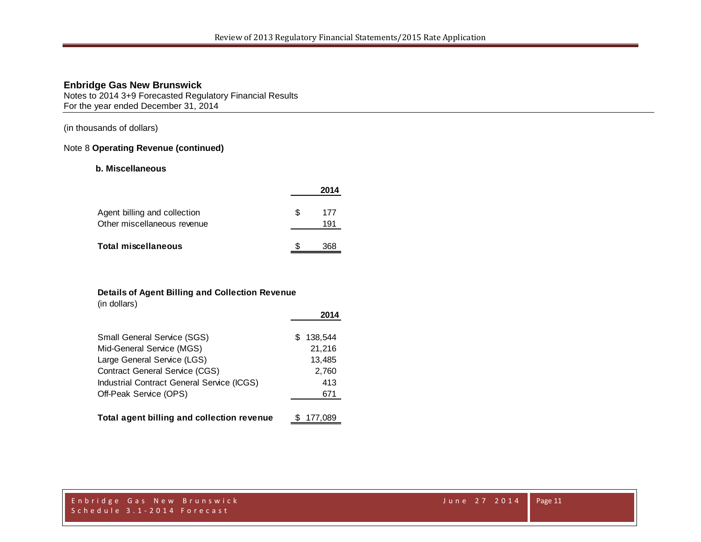Notes to 2014 3+9 Forecasted Regulatory Financial Results For the year ended December 31, 2014

(in thousands of dollars)

#### Note 8 **Operating Revenue (continued)**

#### **b. Miscellaneous**

|                              |    | 2014 |
|------------------------------|----|------|
| Agent billing and collection | £. | 177  |
| Other miscellaneous revenue  |    | 191  |
| <b>Total miscellaneous</b>   |    | 368  |

### **Details of Agent Billing and Collection Revenue**

(in dollars)

|                                            | 2014          |
|--------------------------------------------|---------------|
| Small General Service (SGS)                | 138.544<br>S. |
| Mid-General Service (MGS)                  | 21,216        |
| Large General Service (LGS)                | 13,485        |
| Contract General Service (CGS)             | 2,760         |
| Industrial Contract General Service (ICGS) | 413           |
| Off-Peak Service (OPS)                     | 671           |
|                                            |               |
| Total agent billing and collection revenue | 177,089       |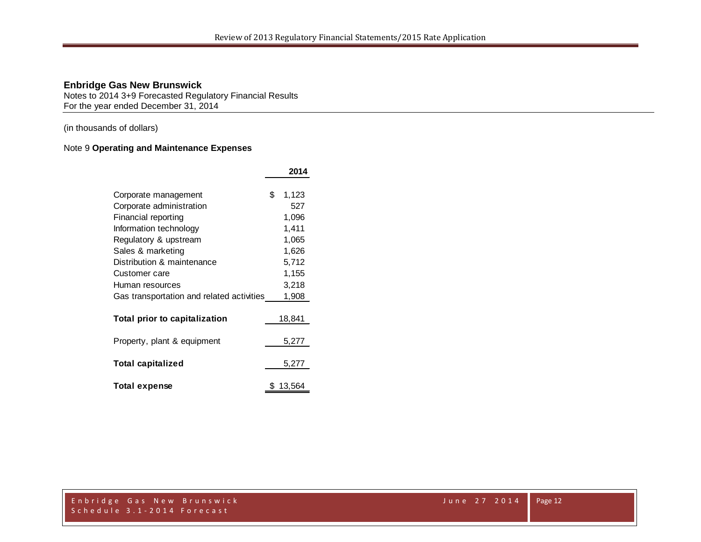Notes to 2014 3+9 Forecasted Regulatory Financial Results For the year ended December 31, 2014

(in thousands of dollars)

### Note 9 **Operating and Maintenance Expenses**

|                                           | 2014        |
|-------------------------------------------|-------------|
|                                           |             |
| Corporate management                      | \$<br>1,123 |
| Corporate administration                  | 527         |
| Financial reporting                       | 1,096       |
| Information technology                    | 1,411       |
| Regulatory & upstream                     | 1,065       |
| Sales & marketing                         | 1,626       |
| Distribution & maintenance                | 5,712       |
| Customer care                             | 1,155       |
| Human resources                           | 3,218       |
| Gas transportation and related activities | 1,908       |
|                                           |             |
| Total prior to capitalization             | 18,841      |
|                                           |             |
| Property, plant & equipment               | 5,277       |
|                                           |             |
| Total capitalized                         | 5,277       |
|                                           |             |
| <b>Total expense</b>                      | 13.564      |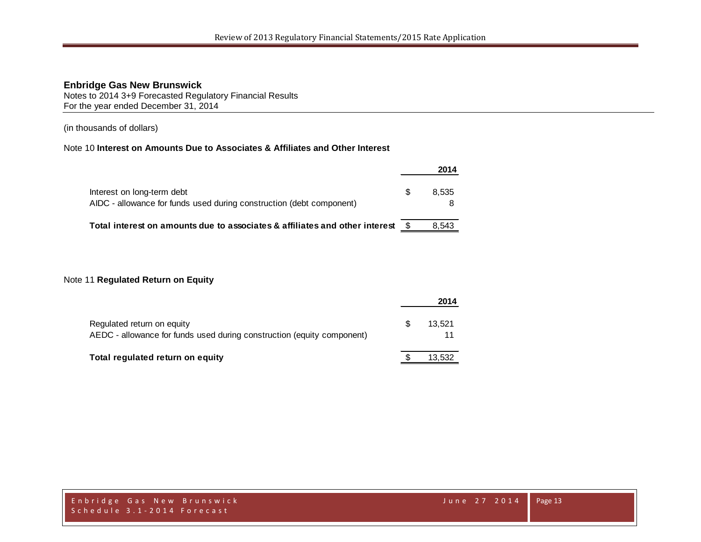Notes to 2014 3+9 Forecasted Regulatory Financial Results For the year ended December 31, 2014

(in thousands of dollars)

### Note 10 **Interest on Amounts Due to Associates & Affiliates and Other Interest**

|                                                                                                    |   | 2014  |
|----------------------------------------------------------------------------------------------------|---|-------|
| Interest on long-term debt<br>AIDC - allowance for funds used during construction (debt component) | S | 8.535 |
| Total interest on amounts due to associates & affiliates and other interest                        |   | 8.543 |

### Note 11 **Regulated Return on Equity**

|                                                                                                      | 2014   |
|------------------------------------------------------------------------------------------------------|--------|
| Regulated return on equity<br>AEDC - allowance for funds used during construction (equity component) | 13.521 |
| Total regulated return on equity                                                                     | 13,532 |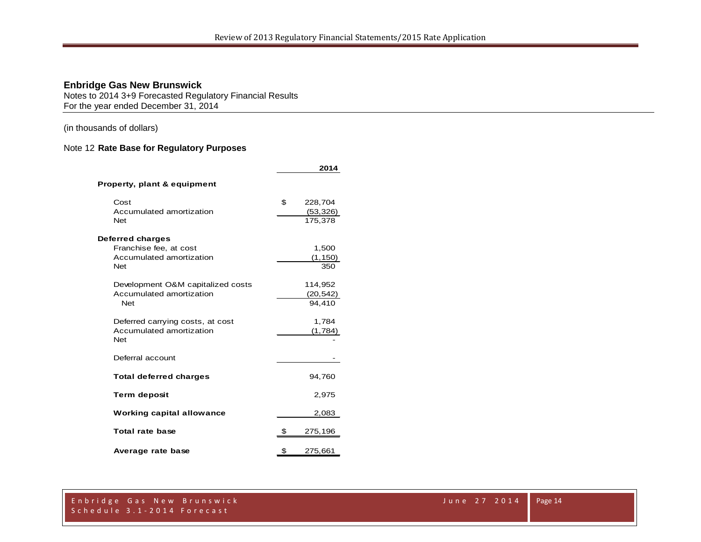Notes to 2014 3+9 Forecasted Regulatory Financial Results For the year ended December 31, 2014

(in thousands of dollars)

### Note 12 **Rate Base for Regulatory Purposes**

|                                        | 2014          |
|----------------------------------------|---------------|
| Property, plant & equipment            |               |
| Cost                                   | \$<br>228,704 |
| Accumulated amortization               | (53, 326)     |
| <b>Net</b>                             | 175.378       |
| Deferred charges                       |               |
| Franchise fee, at cost                 | 1,500         |
| Accumulated amortization               | (1, 150)      |
| <b>Net</b>                             | 350           |
| Development O&M capitalized costs      | 114,952       |
| Accumulated amortization               | (20,542)      |
| <b>Net</b>                             | 94.410        |
|                                        |               |
| Deferred carrying costs, at cost       | 1,784         |
| Accumulated amortization<br><b>Net</b> | (1,784)       |
|                                        |               |
| Deferral account                       |               |
| <b>Total deferred charges</b>          | 94,760        |
| <b>Term deposit</b>                    | 2,975         |
| <b>Working capital allowance</b>       | 2,083         |
| Total rate base                        | \$<br>275,196 |
| Average rate base                      | \$<br>275,661 |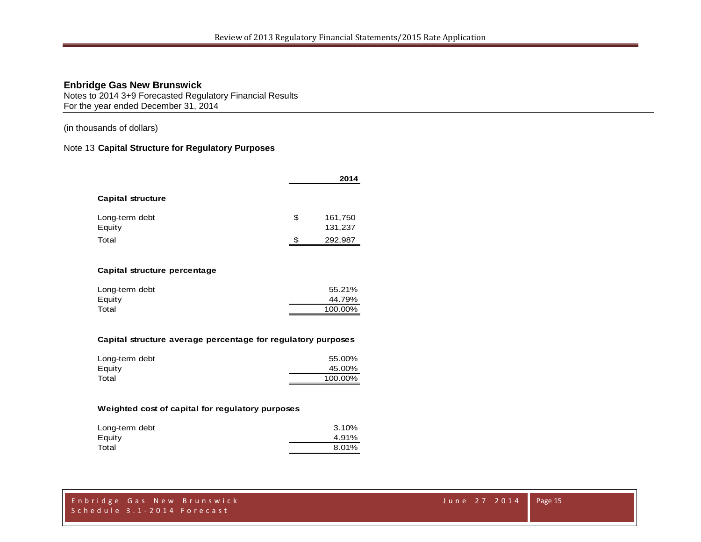Notes to 2014 3+9 Forecasted Regulatory Financial Results For the year ended December 31, 2014

(in thousands of dollars)

#### Note 13 **Capital Structure for Regulatory Purposes**

| 2014          |  |  |
|---------------|--|--|
|               |  |  |
| \$<br>161,750 |  |  |
| 131,237       |  |  |
| \$<br>292,987 |  |  |
|               |  |  |

#### **Capital structure percentage**

| Long-term debt | 55.21%  |
|----------------|---------|
| Equity         | 44.79%  |
| Total          | 100.00% |
|                |         |

#### **Capital structure average percentage for regulatory purposes**

| Long-term debt | 55.00%  |
|----------------|---------|
| Equity         | 45.00%  |
| Total          | 100.00% |

#### **Weighted cost of capital for regulatory purposes**

| Long-term debt | 3.10% |
|----------------|-------|
| Equity         | 4.91% |
| Total          | 8.01% |
|                |       |